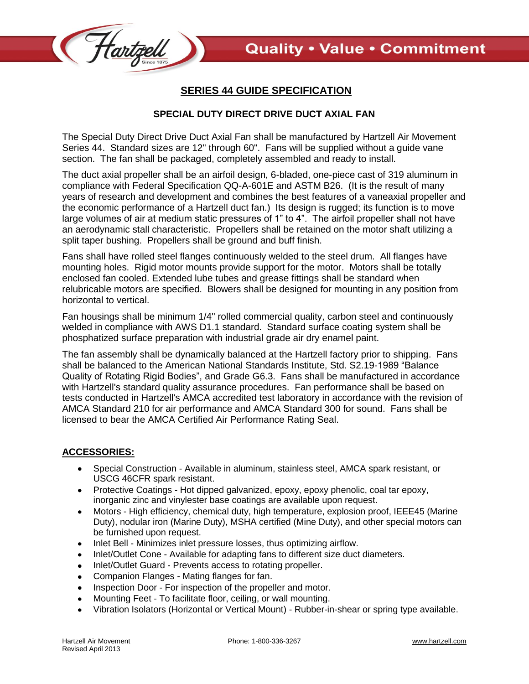

## **SERIES 44 GUIDE SPECIFICATION**

## **SPECIAL DUTY DIRECT DRIVE DUCT AXIAL FAN**

The Special Duty Direct Drive Duct Axial Fan shall be manufactured by Hartzell Air Movement Series 44. Standard sizes are 12" through 60". Fans will be supplied without a guide vane section. The fan shall be packaged, completely assembled and ready to install.

The duct axial propeller shall be an airfoil design, 6-bladed, one-piece cast of 319 aluminum in compliance with Federal Specification QQ-A-601E and ASTM B26. (It is the result of many years of research and development and combines the best features of a vaneaxial propeller and the economic performance of a Hartzell duct fan.) Its design is rugged; its function is to move large volumes of air at medium static pressures of 1" to 4". The airfoil propeller shall not have an aerodynamic stall characteristic. Propellers shall be retained on the motor shaft utilizing a split taper bushing. Propellers shall be ground and buff finish.

Fans shall have rolled steel flanges continuously welded to the steel drum. All flanges have mounting holes. Rigid motor mounts provide support for the motor. Motors shall be totally enclosed fan cooled. Extended lube tubes and grease fittings shall be standard when relubricable motors are specified. Blowers shall be designed for mounting in any position from horizontal to vertical.

Fan housings shall be minimum 1/4" rolled commercial quality, carbon steel and continuously welded in compliance with AWS D1.1 standard. Standard surface coating system shall be phosphatized surface preparation with industrial grade air dry enamel paint.

The fan assembly shall be dynamically balanced at the Hartzell factory prior to shipping. Fans shall be balanced to the American National Standards Institute, Std. S2.19-1989 "Balance Quality of Rotating Rigid Bodies", and Grade G6.3. Fans shall be manufactured in accordance with Hartzell's standard quality assurance procedures. Fan performance shall be based on tests conducted in Hartzell's AMCA accredited test laboratory in accordance with the revision of AMCA Standard 210 for air performance and AMCA Standard 300 for sound. Fans shall be licensed to bear the AMCA Certified Air Performance Rating Seal.

## **ACCESSORIES:**

- Special Construction Available in aluminum, stainless steel, AMCA spark resistant, or  $\bullet$  . USCG 46CFR spark resistant.
- Protective Coatings Hot dipped galvanized, epoxy, epoxy phenolic, coal tar epoxy,  $\bullet$ inorganic zinc and vinylester base coatings are available upon request.
- Motors High efficiency, chemical duty, high temperature, explosion proof, IEEE45 (Marine  $\bullet$ Duty), nodular iron (Marine Duty), MSHA certified (Mine Duty), and other special motors can be furnished upon request.
- Inlet Bell Minimizes inlet pressure losses, thus optimizing airflow.  $\bullet$
- Inlet/Outlet Cone Available for adapting fans to different size duct diameters.  $\bullet$
- Inlet/Outlet Guard Prevents access to rotating propeller.  $\bullet$
- Companion Flanges Mating flanges for fan.  $\bullet$
- Inspection Door For inspection of the propeller and motor.  $\bullet$
- Mounting Feet To facilitate floor, ceiling, or wall mounting.  $\bullet$
- Vibration Isolators (Horizontal or Vertical Mount) Rubber-in-shear or spring type available.